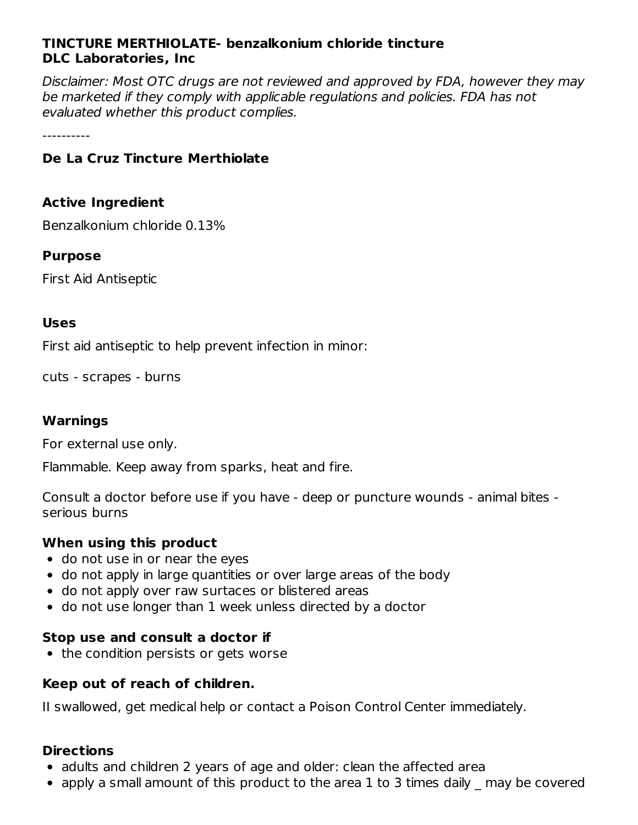# **TINCTURE MERTHIOLATE- benzalkonium chloride tincture DLC Laboratories, Inc**

Disclaimer: Most OTC drugs are not reviewed and approved by FDA, however they may be marketed if they comply with applicable regulations and policies. FDA has not evaluated whether this product complies.

----------

# **De La Cruz Tincture Merthiolate**

#### **Active Ingredient**

Benzalkonium chloride 0.13%

#### **Purpose**

First Aid Antiseptic

#### **Uses**

First aid antiseptic to help prevent infection in minor:

cuts - scrapes - burns

#### **Warnings**

For external use only.

Flammable. Keep away from sparks, heat and fire.

Consult a doctor before use if you have - deep or puncture wounds - animal bites serious burns

# **When using this product**

- do not use in or near the eyes
- do not apply in large quantities or over large areas of the body
- do not apply over raw surtaces or blistered areas
- do not use longer than 1 week unless directed by a doctor

#### **Stop use and consult a doctor if**

• the condition persists or gets worse

# **Keep out of reach of children.**

II swallowed, get medical help or contact a Poison Control Center immediately.

#### **Directions**

- adults and children 2 years of age and older: clean the affected area
- apply a small amount of this product to the area 1 to 3 times daily may be covered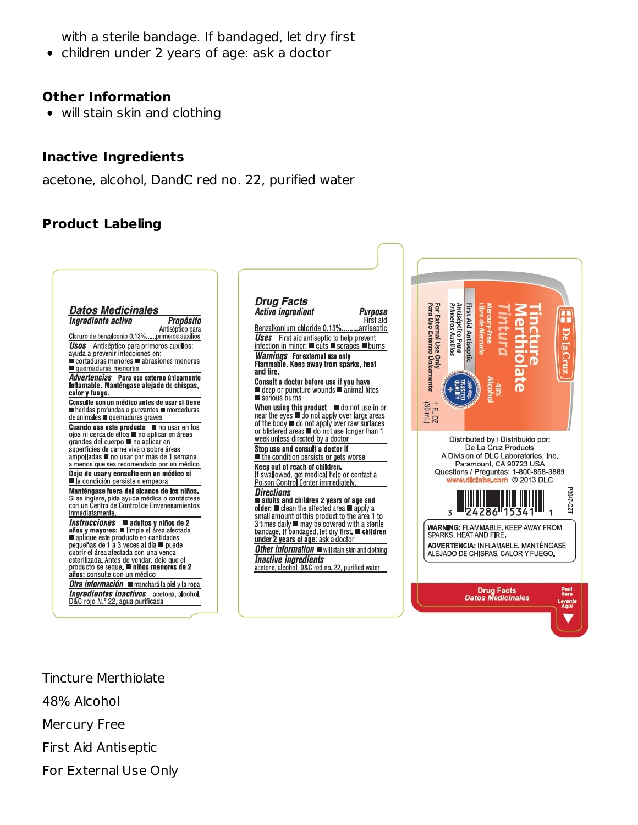with a sterile bandage. If bandaged, let dry first

children under 2 years of age: ask a doctor  $\bullet$ 

#### **Other Information**

will stain skin and clothing

#### **Inactive Ingredients**

acetone, alcohol, DandC red no. 22, purified water

# **Product Labeling**



Tincture Merthiolate 48% Alcohol Mercury Free First Aid Antiseptic For External Use Only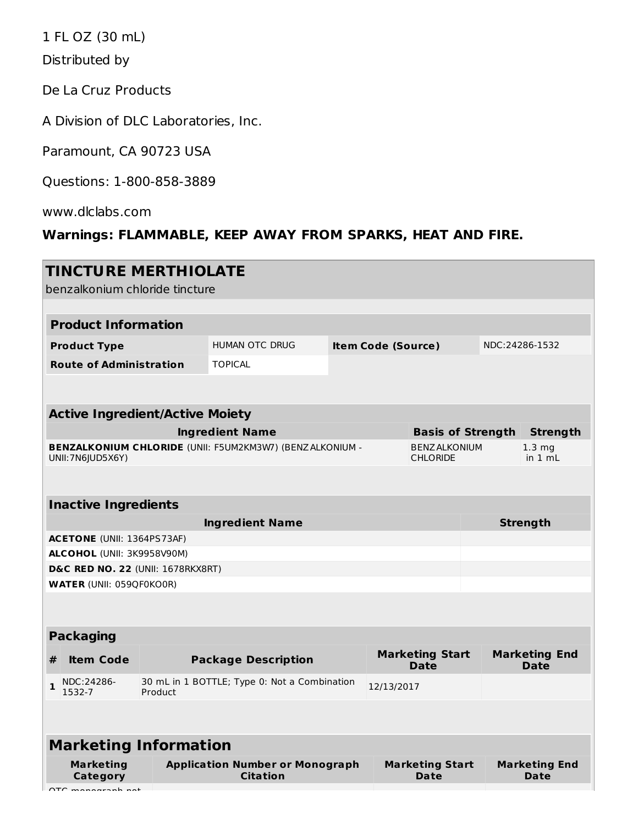1 FL OZ (30 mL)

Distributed by

De La Cruz Products

A Division of DLC Laboratories, Inc.

Paramount, CA 90723 USA

Questions: 1-800-858-3889

www.dlclabs.com

# **Warnings: FLAMMABLE, KEEP AWAY FROM SPARKS, HEAT AND FIRE.**

| <b>TINCTURE MERTHIOLATE</b><br>benzalkonium chloride tincture                        |                                                                     |                                                           |  |                                         |                                       |                              |                                     |  |
|--------------------------------------------------------------------------------------|---------------------------------------------------------------------|-----------------------------------------------------------|--|-----------------------------------------|---------------------------------------|------------------------------|-------------------------------------|--|
|                                                                                      |                                                                     |                                                           |  |                                         |                                       |                              |                                     |  |
| <b>Product Information</b>                                                           |                                                                     |                                                           |  |                                         |                                       |                              |                                     |  |
| <b>Product Type</b>                                                                  |                                                                     | <b>HUMAN OTC DRUG</b><br><b>Item Code (Source)</b>        |  |                                         |                                       | NDC:24286-1532               |                                     |  |
| <b>Route of Administration</b>                                                       |                                                                     | <b>TOPICAL</b>                                            |  |                                         |                                       |                              |                                     |  |
|                                                                                      |                                                                     |                                                           |  |                                         |                                       |                              |                                     |  |
|                                                                                      |                                                                     |                                                           |  |                                         |                                       |                              |                                     |  |
| <b>Active Ingredient/Active Moiety</b>                                               |                                                                     |                                                           |  |                                         |                                       |                              |                                     |  |
| <b>Ingredient Name</b>                                                               |                                                                     |                                                           |  |                                         |                                       | <b>Basis of Strength</b>     | <b>Strength</b>                     |  |
| <b>BENZALKONIUM CHLORIDE (UNII: F5UM2KM3W7) (BENZALKONIUM -</b><br>UNII: 7N6JUD5X6Y) |                                                                     |                                                           |  | <b>BENZ ALKONIUM</b><br><b>CHLORIDE</b> |                                       | 1.3 <sub>ma</sub><br>in 1 mL |                                     |  |
|                                                                                      |                                                                     |                                                           |  |                                         |                                       |                              |                                     |  |
| <b>Inactive Ingredients</b>                                                          |                                                                     |                                                           |  |                                         |                                       |                              |                                     |  |
|                                                                                      |                                                                     | <b>Ingredient Name</b>                                    |  |                                         |                                       |                              | <b>Strength</b>                     |  |
| <b>ACETONE</b> (UNII: 1364PS73AF)                                                    |                                                                     |                                                           |  |                                         |                                       |                              |                                     |  |
|                                                                                      | ALCOHOL (UNII: 3K9958V90M)                                          |                                                           |  |                                         |                                       |                              |                                     |  |
| <b>D&amp;C RED NO. 22 (UNII: 1678RKX8RT)</b><br><b>WATER (UNII: 059QF0KO0R)</b>      |                                                                     |                                                           |  |                                         |                                       |                              |                                     |  |
|                                                                                      |                                                                     |                                                           |  |                                         |                                       |                              |                                     |  |
|                                                                                      |                                                                     |                                                           |  |                                         |                                       |                              |                                     |  |
| <b>Packaging</b>                                                                     |                                                                     |                                                           |  |                                         |                                       |                              |                                     |  |
| <b>Item Code</b><br>#                                                                | <b>Marketing Start</b><br><b>Package Description</b><br><b>Date</b> |                                                           |  | <b>Marketing End</b><br><b>Date</b>     |                                       |                              |                                     |  |
| NDC:24286-<br>$\mathbf{1}$<br>1532-7                                                 | Product                                                             | 30 mL in 1 BOTTLE; Type 0: Not a Combination              |  | 12/13/2017                              |                                       |                              |                                     |  |
|                                                                                      |                                                                     |                                                           |  |                                         |                                       |                              |                                     |  |
| <b>Marketing Information</b>                                                         |                                                                     |                                                           |  |                                         |                                       |                              |                                     |  |
| <b>Marketing</b><br><b>Category</b>                                                  |                                                                     | <b>Application Number or Monograph</b><br><b>Citation</b> |  |                                         | <b>Marketing Start</b><br><b>Date</b> |                              | <b>Marketing End</b><br><b>Date</b> |  |
| $\Delta T$ managemak nat $\blacksquare$                                              |                                                                     |                                                           |  |                                         |                                       |                              |                                     |  |